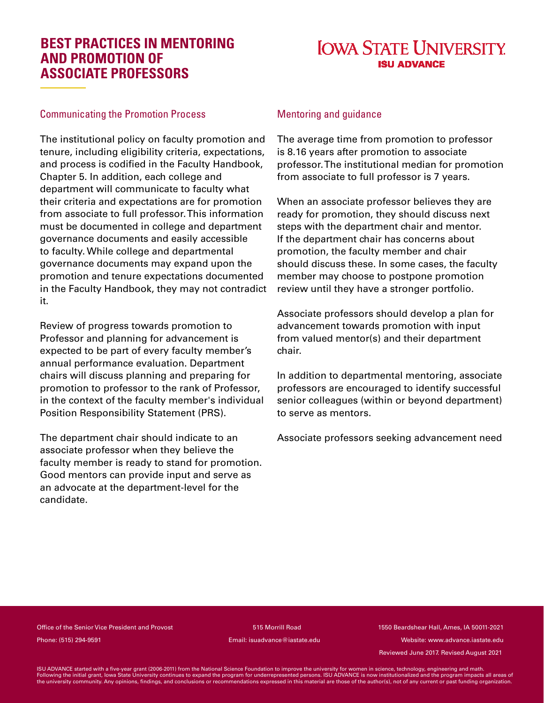### **BEST PRACTICES IN MENTORING AND PROMOTION OF ASSOCIATE PROFESSORS**

# **IOWA STATE UNIVERSITY**

#### Communicating the Promotion Process

The institutional policy on faculty promotion and tenure, including eligibility criteria, expectations, and process is codified in the Faculty Handbook, Chapter 5. In addition, each college and department will communicate to faculty what their criteria and expectations are for promotion from associate to full professor. This information must be documented in college and department governance documents and easily accessible to faculty. While college and departmental governance documents may expand upon the promotion and tenure expectations documented in the Faculty Handbook, they may not contradict it.

Review of progress towards promotion to Professor and planning for advancement is expected to be part of every faculty member's annual performance evaluation. Department chairs will discuss planning and preparing for promotion to professor to the rank of Professor, in the context of the faculty member's individual Position Responsibility Statement (PRS).

The department chair should indicate to an associate professor when they believe the faculty member is ready to stand for promotion. Good mentors can provide input and serve as an advocate at the department-level for the candidate.

#### Mentoring and guidance

The average time from promotion to professor is 8.16 years after promotion to associate professor. The institutional median for promotion from associate to full professor is 7 years.

When an associate professor believes they are ready for promotion, they should discuss next steps with the department chair and mentor. If the department chair has concerns about promotion, the faculty member and chair should discuss these. In some cases, the faculty member may choose to postpone promotion review until they have a stronger portfolio.

Associate professors should develop a plan for advancement towards promotion with input from valued mentor(s) and their department chair.

In addition to departmental mentoring, associate professors are encouraged to identify successful senior colleagues (within or beyond department) to serve as mentors.

Associate professors seeking advancement need

Office of the Senior Vice President and Provost 515 Morrill Road 1550 Beardshear Hall, Ames, IA 50011-2021 Phone: (515) 294-9591 Email: isuadvance@iastate.edu Website: www.advance.iastate.edu

Reviewed June 2017. Revised August 2021

ISU ADVANCE started with a five-year grant (2006-2011) from the National Science Foundation to improve the university for women in science, technology, engineering and math.<br>Following the initial grant, lowa State Universi the university community. Any opinions, findings, and conclusions or recommendations expressed in this material are those of the author(s), not of any current or past funding organization.